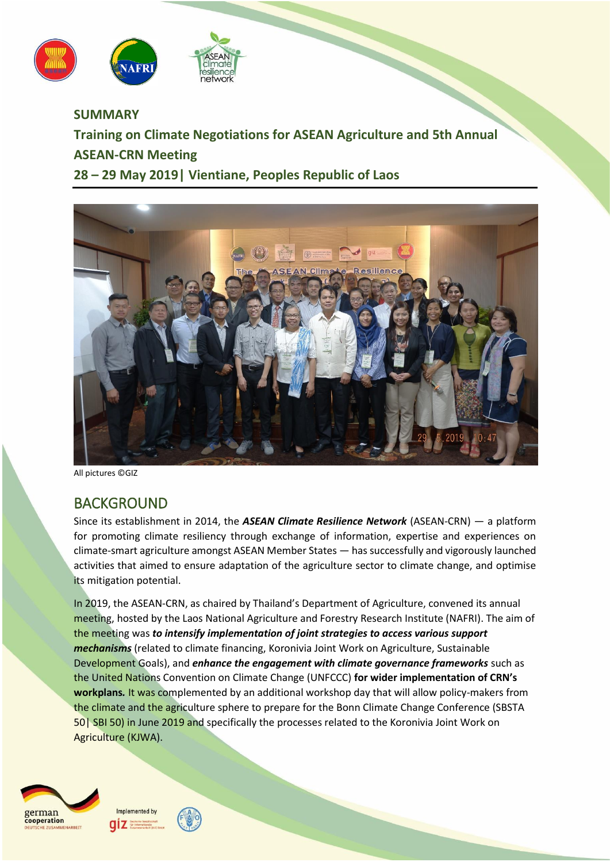



**SUMMARY Training on Climate Negotiations for ASEAN Agriculture and 5th Annual ASEAN-CRN Meeting 28 – 29 May 2019| Vientiane, Peoples Republic of Laos**



All pictures ©GIZ

# BACKGROUND

Since its establishment in 2014, the *ASEAN Climate Resilience Network* (ASEAN-CRN) — a platform for promoting climate resiliency through exchange of information, expertise and experiences on climate-smart agriculture amongst ASEAN Member States — has successfully and vigorously launched activities that aimed to ensure adaptation of the agriculture sector to climate change, and optimise its mitigation potential.

In 2019, the ASEAN-CRN, as chaired by Thailand's Department of Agriculture, convened its annual meeting, hosted by the Laos National Agriculture and Forestry Research Institute (NAFRI). The aim of the meeting was *to intensify implementation of joint strategies to access various support mechanisms* (related to climate financing, Koronivia Joint Work on Agriculture, Sustainable Development Goals), and *enhance the engagement with climate governance frameworks* such as the United Nations Convention on Climate Change (UNFCCC) **for wider implementation of CRN's workplans***.* It was complemented by an additional workshop day that will allow policy-makers from the climate and the agriculture sphere to prepare for the Bonn Climate Change Conference (SBSTA 50| SBI 50) in June 2019 and specifically the processes related to the Koronivia Joint Work on Agriculture (KJWA).





aız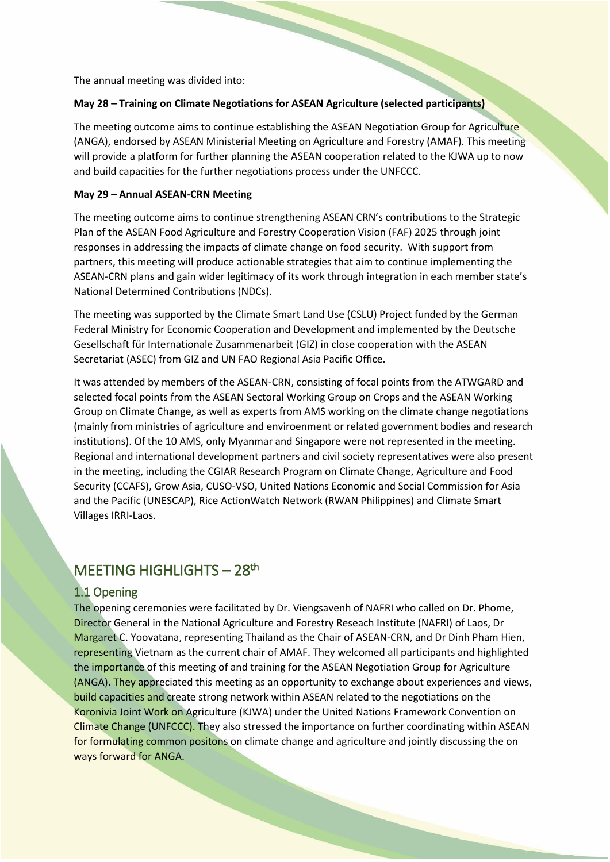The annual meeting was divided into:

#### **May 28 – Training on Climate Negotiations for ASEAN Agriculture (selected participants)**

The meeting outcome aims to continue establishing the ASEAN Negotiation Group for Agriculture (ANGA), endorsed by ASEAN Ministerial Meeting on Agriculture and Forestry (AMAF). This meeting will provide a platform for further planning the ASEAN cooperation related to the KJWA up to now and build capacities for the further negotiations process under the UNFCCC.

#### **May 29 – Annual ASEAN-CRN Meeting**

The meeting outcome aims to continue strengthening ASEAN CRN's contributions to the Strategic Plan of the ASEAN Food Agriculture and Forestry Cooperation Vision (FAF) 2025 through joint responses in addressing the impacts of climate change on food security. With support from partners, this meeting will produce actionable strategies that aim to continue implementing the ASEAN-CRN plans and gain wider legitimacy of its work through integration in each member state's National Determined Contributions (NDCs).

The meeting was supported by the Climate Smart Land Use (CSLU) Project funded by the German Federal Ministry for Economic Cooperation and Development and implemented by the Deutsche Gesellschaft für Internationale Zusammenarbeit (GIZ) in close cooperation with the ASEAN Secretariat (ASEC) from GIZ and UN FAO Regional Asia Pacific Office.

It was attended by members of the ASEAN-CRN, consisting of focal points from the ATWGARD and selected focal points from the ASEAN Sectoral Working Group on Crops and the ASEAN Working Group on Climate Change, as well as experts from AMS working on the climate change negotiations (mainly from ministries of agriculture and enviroenment or related government bodies and research institutions). Of the 10 AMS, only Myanmar and Singapore were not represented in the meeting. Regional and international development partners and civil society representatives were also present in the meeting, including the CGIAR Research Program on Climate Change, Agriculture and Food Security (CCAFS), Grow Asia, CUSO-VSO, United Nations Economic and Social Commission for Asia and the Pacific (UNESCAP), Rice ActionWatch Network (RWAN Philippines) and Climate Smart Villages IRRI-Laos.

# MEETING HIGHLIGHTS - 28<sup>th</sup>

## 1.1 Opening

The opening ceremonies were facilitated by Dr. Viengsavenh of NAFRI who called on Dr. Phome, Director General in the National Agriculture and Forestry Reseach Institute (NAFRI) of Laos, Dr Margaret C. Yoovatana, representing Thailand as the Chair of ASEAN-CRN, and Dr Dinh Pham Hien, representing Vietnam as the current chair of AMAF. They welcomed all participants and highlighted the importance of this meeting of and training for the ASEAN Negotiation Group for Agriculture (ANGA). They appreciated this meeting as an opportunity to exchange about experiences and views, build capacities and create strong network within ASEAN related to the negotiations on the Koronivia Joint Work on Agriculture (KJWA) under the United Nations Framework Convention on Climate Change (UNFCCC). They also stressed the importance on further coordinating within ASEAN for formulating common positons on climate change and agriculture and jointly discussing the on ways forward for ANGA.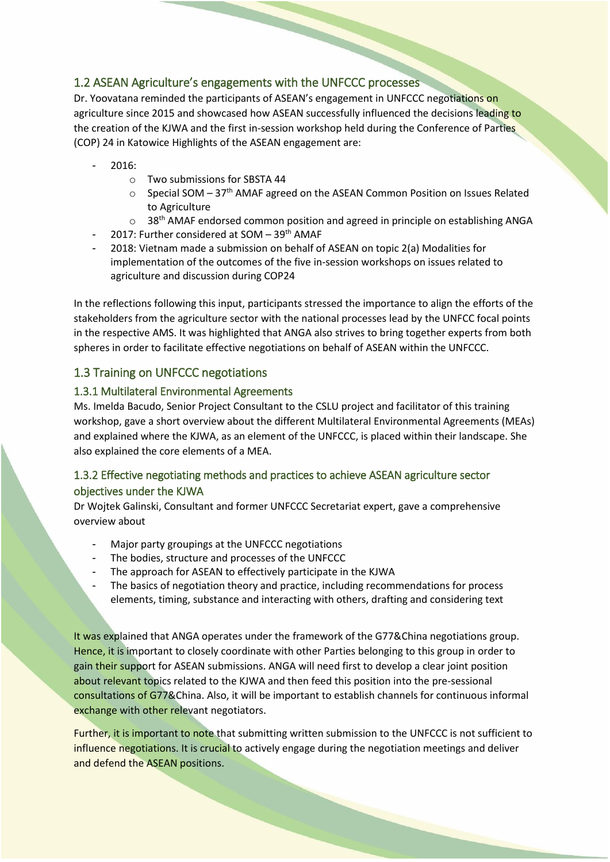# 1.2 ASEAN Agriculture's engagements with the UNFCCC processes

Dr. Yoovatana reminded the participants of ASEAN's engagement in UNFCCC negotiations on agriculture since 2015 and showcased how ASEAN successfully influenced the decisions leading to the creation of the KJWA and the first in-session workshop held during the Conference of Parties (COP) 24 in Katowice Highlights of the ASEAN engagement are:

- 2016:
	- o Two submissions for SBSTA 44
	- o Special SOM 37<sup>th</sup> AMAF agreed on the ASEAN Common Position on Issues Related to Agriculture
	- $\circ$  38<sup>th</sup> AMAF endorsed common position and agreed in principle on establishing ANGA
	- 2017: Further considered at SOM  $-$  39<sup>th</sup> AMAF
- 2018: Vietnam made a submission on behalf of ASEAN on topic 2(a) Modalities for implementation of the outcomes of the five in-session workshops on issues related to agriculture and discussion during COP24

In the reflections following this input, participants stressed the importance to align the efforts of the stakeholders from the agriculture sector with the national processes lead by the UNFCC focal points in the respective AMS. It was highlighted that ANGA also strives to bring together experts from both spheres in order to facilitate effective negotiations on behalf of ASEAN within the UNFCCC.

# 1.3 Training on UNFCCC negotiations

### 1.3.1 Multilateral Environmental Agreements

Ms. Imelda Bacudo, Senior Project Consultant to the CSLU project and facilitator of this training workshop, gave a short overview about the different Multilateral Environmental Agreements (MEAs) and explained where the KJWA, as an element of the UNFCCC, is placed within their landscape. She also explained the core elements of a MEA.

# 1.3.2 Effective negotiating methods and practices to achieve ASEAN agriculture sector objectives under the KJWA

Dr Wojtek Galinski, Consultant and former UNFCCC Secretariat expert, gave a comprehensive overview about

- Major party groupings at the UNFCCC negotiations
- The bodies, structure and processes of the UNFCCC
- The approach for ASEAN to effectively participate in the KJWA
- The basics of negotiation theory and practice, including recommendations for process elements, timing, substance and interacting with others, drafting and considering text

It was explained that ANGA operates under the framework of the G77&China negotiations group. Hence, it is important to closely coordinate with other Parties belonging to this group in order to gain their support for ASEAN submissions. ANGA will need first to develop a clear joint position about relevant topics related to the KJWA and then feed this position into the pre-sessional consultations of G77&China. Also, it will be important to establish channels for continuous informal exchange with other relevant negotiators.

Further, it is important to note that submitting written submission to the UNFCCC is not sufficient to influence negotiations. It is crucial to actively engage during the negotiation meetings and deliver and defend the ASEAN positions.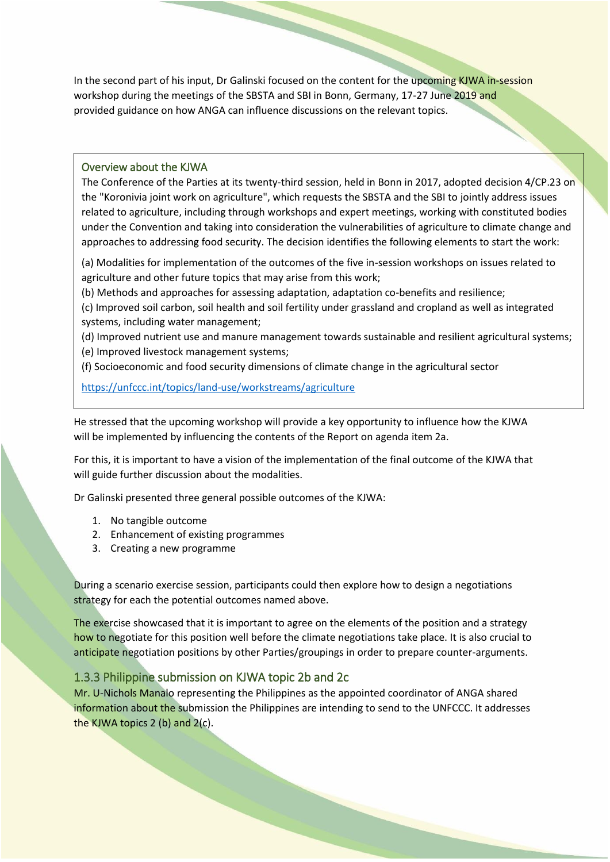In the second part of his input, Dr Galinski focused on the content for the upcoming KJWA in-session workshop during the meetings of the SBSTA and SBI in Bonn, Germany, 17-27 June 2019 and provided guidance on how ANGA can influence discussions on the relevant topics.

#### Overview about the KJWA

The Conference of the Parties at its twenty-third session, held in Bonn in 2017, adopted [decision 4/CP.23](https://unfccc.int/documents/65126) on the "Koronivia joint work on agriculture", which requests the SBSTA and the SBI to jointly address issues related to agriculture, including through workshops and expert meetings, working with constituted bodies under the Convention and taking into consideration the vulnerabilities of agriculture to climate change and approaches to addressing food security. The decision identifies the following elements to start the work:

(a) Modalities for implementation of the outcomes of the five in-session workshops on issues related to agriculture and other future topics that may arise from this work;

(b) Methods and approaches for assessing adaptation, adaptation co-benefits and resilience;

(c) Improved soil carbon, soil health and soil fertility under grassland and cropland as well as integrated systems, including water management;

(d) Improved nutrient use and manure management towards sustainable and resilient agricultural systems; (e) Improved livestock management systems;

(f) Socioeconomic and food security dimensions of climate change in the agricultural sector

<https://unfccc.int/topics/land-use/workstreams/agriculture>

He stressed that the upcoming workshop will provide a key opportunity to influence how the KJWA will be implemented by influencing the contents of the Report on agenda item 2a.

For this, it is important to have a vision of the implementation of the final outcome of the KJWA that will guide further discussion about the modalities.

Dr Galinski presented three general possible outcomes of the KJWA:

- 1. No tangible outcome
- 2. Enhancement of existing programmes
- 3. Creating a new programme

During a scenario exercise session, participants could then explore how to design a negotiations strategy for each the potential outcomes named above.

The exercise showcased that it is important to agree on the elements of the position and a strategy how to negotiate for this position well before the climate negotiations take place. It is also crucial to anticipate negotiation positions by other Parties/groupings in order to prepare counter-arguments.

## 1.3.3 Philippine submission on KJWA topic 2b and 2c

Mr. U-Nichols Manalo representing the Philippines as the appointed coordinator of ANGA shared information about the submission the Philippines are intending to send to the UNFCCC. It addresses the KJWA topics 2 (b) and 2(c).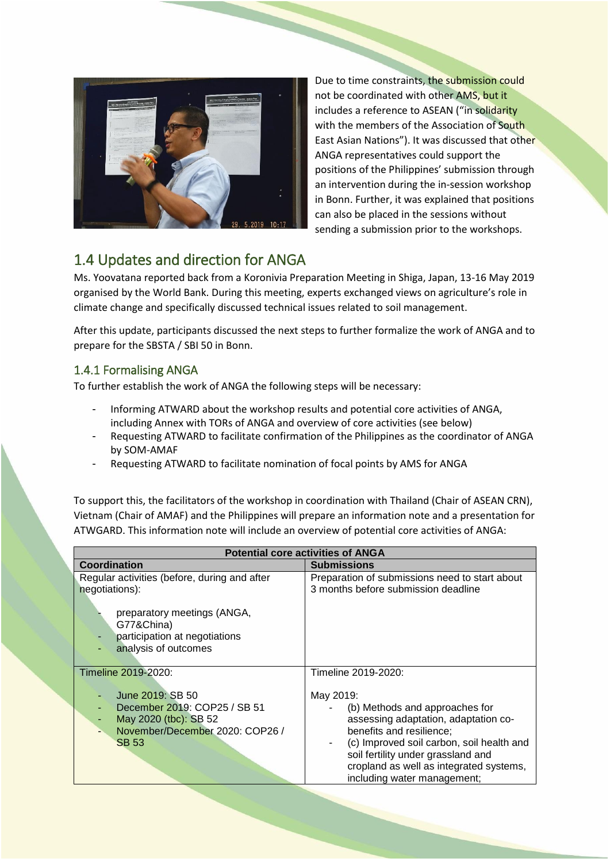

Due to time constraints, the submission could not be coordinated with other AMS, but it includes a reference to ASEAN ("in solidarity with the members of the Association of South East Asian Nations"). It was discussed that other ANGA representatives could support the positions of the Philippines' submission through an intervention during the in-session workshop in Bonn. Further, it was explained that positions can also be placed in the sessions without sending a submission prior to the workshops.

# 1.4 Updates and direction for ANGA

Ms. Yoovatana reported back from a Koronivia Preparation Meeting in Shiga, Japan, 13-16 May 2019 organised by the World Bank. During this meeting, experts exchanged views on agriculture's role in climate change and specifically discussed technical issues related to soil management.

After this update, participants discussed the next steps to further formalize the work of ANGA and to prepare for the SBSTA / SBI 50 in Bonn.

# 1.4.1 Formalising ANGA

To further establish the work of ANGA the following steps will be necessary:

- Informing ATWARD about the workshop results and potential core activities of ANGA, including Annex with TORs of ANGA and overview of core activities (see below)
- Requesting ATWARD to facilitate confirmation of the Philippines as the coordinator of ANGA by SOM-AMAF
- Requesting ATWARD to facilitate nomination of focal points by AMS for ANGA

To support this, the facilitators of the workshop in coordination with Thailand (Chair of ASEAN CRN), Vietnam (Chair of AMAF) and the Philippines will prepare an information note and a presentation for ATWGARD. This information note will include an overview of potential core activities of ANGA:

| <b>Potential core activities of ANGA</b>                                                                    |                                                                                                                                                                                                                                                                 |  |  |  |  |
|-------------------------------------------------------------------------------------------------------------|-----------------------------------------------------------------------------------------------------------------------------------------------------------------------------------------------------------------------------------------------------------------|--|--|--|--|
| Coordination                                                                                                | <b>Submissions</b>                                                                                                                                                                                                                                              |  |  |  |  |
| Regular activities (before, during and after<br>negotiations):<br>preparatory meetings (ANGA,<br>G77&China) | Preparation of submissions need to start about<br>3 months before submission deadline                                                                                                                                                                           |  |  |  |  |
| participation at negotiations<br>analysis of outcomes                                                       |                                                                                                                                                                                                                                                                 |  |  |  |  |
| Timeline 2019-2020:                                                                                         | Timeline 2019-2020:                                                                                                                                                                                                                                             |  |  |  |  |
| June 2019: SB 50                                                                                            | May 2019:                                                                                                                                                                                                                                                       |  |  |  |  |
| December 2019: COP25 / SB 51<br>May 2020 (tbc): SB 52<br>November/December 2020: COP26 /<br><b>SB 53</b>    | (b) Methods and approaches for<br>assessing adaptation, adaptation co-<br>benefits and resilience;<br>(c) Improved soil carbon, soil health and<br>soil fertility under grassland and<br>cropland as well as integrated systems,<br>including water management; |  |  |  |  |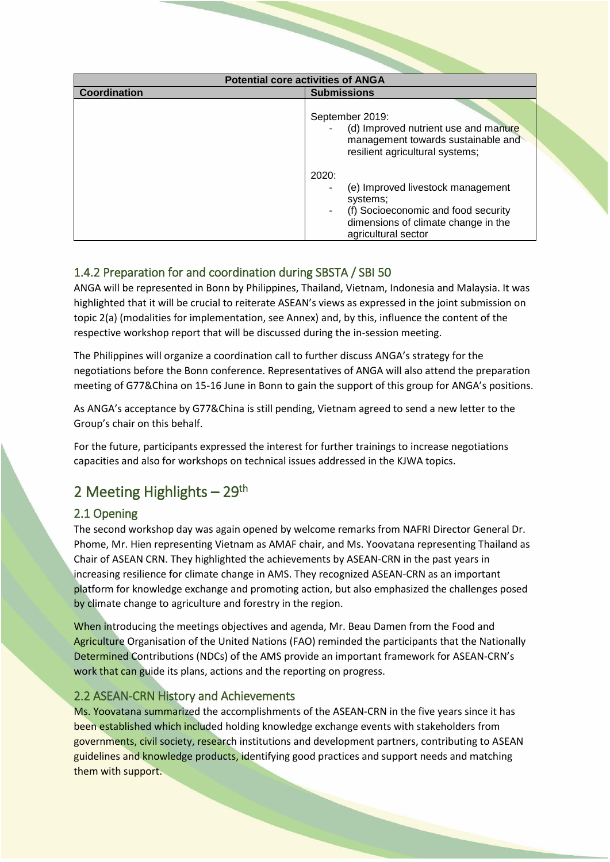| <b>Potential core activities of ANGA</b> |                                                                                                                                                                                                                                                                                                 |  |  |  |
|------------------------------------------|-------------------------------------------------------------------------------------------------------------------------------------------------------------------------------------------------------------------------------------------------------------------------------------------------|--|--|--|
| Coordination                             | <b>Submissions</b>                                                                                                                                                                                                                                                                              |  |  |  |
|                                          | September 2019:<br>(d) Improved nutrient use and manure<br>management towards sustainable and<br>resilient agricultural systems;<br>2020:<br>(e) Improved livestock management<br>systems;<br>(f) Socioeconomic and food security<br>dimensions of climate change in the<br>agricultural sector |  |  |  |

# 1.4.2 Preparation for and coordination during SBSTA / SBI 50

ANGA will be represented in Bonn by Philippines, Thailand, Vietnam, Indonesia and Malaysia. It was highlighted that it will be crucial to reiterate ASEAN's views as expressed in the joint submission on topic 2(a) (modalities for implementation, see Annex) and, by this, influence the content of the respective workshop report that will be discussed during the in-session meeting.

The Philippines will organize a coordination call to further discuss ANGA's strategy for the negotiations before the Bonn conference. Representatives of ANGA will also attend the preparation meeting of G77&China on 15-16 June in Bonn to gain the support of this group for ANGA's positions.

As ANGA's acceptance by G77&China is still pending, Vietnam agreed to send a new letter to the Group's chair on this behalf.

For the future, participants expressed the interest for further trainings to increase negotiations capacities and also for workshops on technical issues addressed in the KJWA topics.

# 2 Meeting Highlights - 29<sup>th</sup>

# 2.1 Opening

The second workshop day was again opened by welcome remarks from NAFRI Director General Dr. Phome, Mr. Hien representing Vietnam as AMAF chair, and Ms. Yoovatana representing Thailand as Chair of ASEAN CRN. They highlighted the achievements by ASEAN-CRN in the past years in increasing resilience for climate change in AMS. They recognized ASEAN-CRN as an important platform for knowledge exchange and promoting action, but also emphasized the challenges posed by climate change to agriculture and forestry in the region.

When introducing the meetings objectives and agenda, Mr. Beau Damen from the Food and Agriculture Organisation of the United Nations (FAO) reminded the participants that the Nationally Determined Contributions (NDCs) of the AMS provide an important framework for ASEAN-CRN's work that can guide its plans, actions and the reporting on progress.

# 2.2 ASEAN-CRN History and Achievements

Ms. Yoovatana summarized the accomplishments of the ASEAN-CRN in the five years since it has been established which included holding knowledge exchange events with stakeholders from governments, civil society, research institutions and development partners, contributing to ASEAN guidelines and knowledge products, identifying good practices and support needs and matching them with support.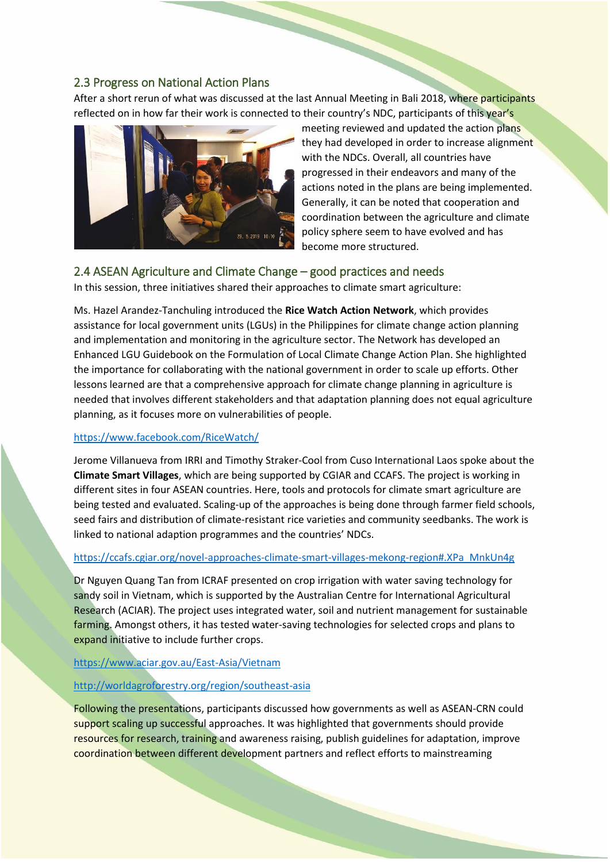## 2.3 Progress on National Action Plans

After a short rerun of what was discussed at the last Annual Meeting in Bali 2018, where participants reflected on in how far their work is connected to their country's NDC, participants of this year's



meeting reviewed and updated the action plans they had developed in order to increase alignment with the NDCs. Overall, all countries have progressed in their endeavors and many of the actions noted in the plans are being implemented. Generally, it can be noted that cooperation and coordination between the agriculture and climate policy sphere seem to have evolved and has become more structured.

### 2.4 ASEAN Agriculture and Climate Change – good practices and needs

In this session, three initiatives shared their approaches to climate smart agriculture:

Ms. Hazel Arandez-Tanchuling introduced the **Rice Watch Action Network**, which provides assistance for local government units (LGUs) in the Philippines for climate change action planning and implementation and monitoring in the agriculture sector. The Network has developed an Enhanced LGU Guidebook on the Formulation of Local Climate Change Action Plan. She highlighted the importance for collaborating with the national government in order to scale up efforts. Other lessons learned are that a comprehensive approach for climate change planning in agriculture is needed that involves different stakeholders and that adaptation planning does not equal agriculture planning, as it focuses more on vulnerabilities of people.

#### <https://www.facebook.com/RiceWatch/>

Jerome Villanueva from IRRI and Timothy Straker-Cool from Cuso International Laos spoke about the **Climate Smart Villages**, which are being supported by CGIAR and CCAFS. The project is working in different sites in four ASEAN countries. Here, tools and protocols for climate smart agriculture are being tested and evaluated. Scaling-up of the approaches is being done through farmer field schools, seed fairs and distribution of climate-resistant rice varieties and community seedbanks. The work is linked to national adaption programmes and the countries' NDCs.

#### [https://ccafs.cgiar.org/novel-approaches-climate-smart-villages-mekong-region#.XPa\\_MnkUn4g](https://ccafs.cgiar.org/novel-approaches-climate-smart-villages-mekong-region#.XPa_MnkUn4g)

Dr Nguyen Quang Tan from ICRAF presented on crop irrigation with water saving technology for sandy soil in Vietnam, which is supported by the Australian Centre for International Agricultural Research (ACIAR). The project uses integrated water, soil and nutrient management for sustainable farming. Amongst others, it has tested water-saving technologies for selected crops and plans to expand initiative to include further crops.

#### <https://www.aciar.gov.au/East-Asia/Vietnam>

#### <http://worldagroforestry.org/region/southeast-asia>

Following the presentations, participants discussed how governments as well as ASEAN-CRN could support scaling up successful approaches. It was highlighted that governments should provide resources for research, training and awareness raising, publish guidelines for adaptation, improve coordination between different development partners and reflect efforts to mainstreaming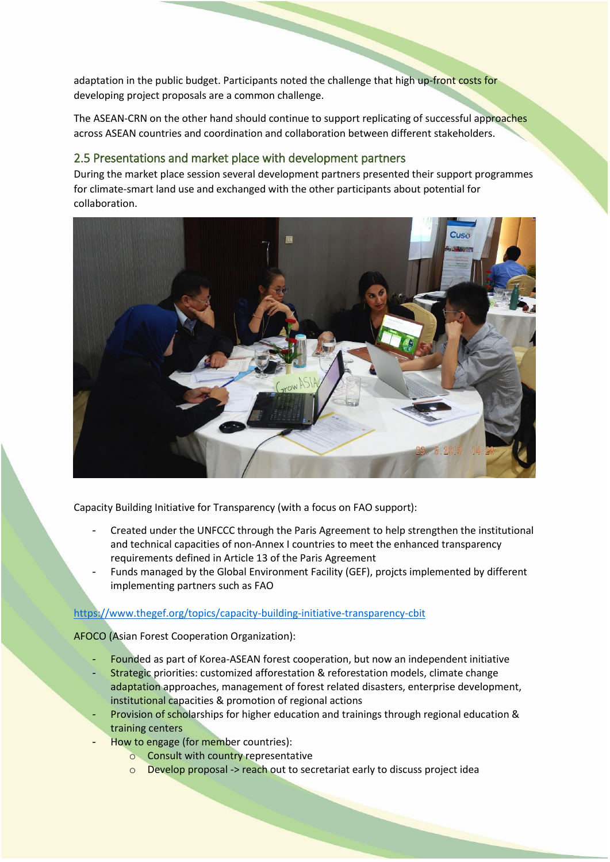adaptation in the public budget. Participants noted the challenge that high up-front costs for developing project proposals are a common challenge.

The ASEAN-CRN on the other hand should continue to support replicating of successful approaches across ASEAN countries and coordination and collaboration between different stakeholders.

## 2.5 Presentations and market place with development partners

During the market place session several development partners presented their support programmes for climate-smart land use and exchanged with the other participants about potential for collaboration.



Capacity Building Initiative for Transparency (with a focus on FAO support):

- Created under the UNFCCC through the Paris Agreement to help strengthen the institutional and technical capacities of non-Annex I countries to meet the enhanced transparency requirements defined in Article 13 of the Paris Agreement
- Funds managed by the Global Environment Facility (GEF), projcts implemented by different implementing partners such as FAO

### <https://www.thegef.org/topics/capacity-building-initiative-transparency-cbit>

AFOCO (Asian Forest Cooperation Organization):

- Founded as part of Korea-ASEAN forest cooperation, but now an independent initiative
- Strategic priorities: customized afforestation & reforestation models, climate change adaptation approaches, management of forest related disasters, enterprise development, institutional capacities & promotion of regional actions
- Provision of scholarships for higher education and trainings through regional education & training centers
- How to engage (for member countries):
	- o Consult with country representative
	- o Develop proposal -> reach out to secretariat early to discuss project idea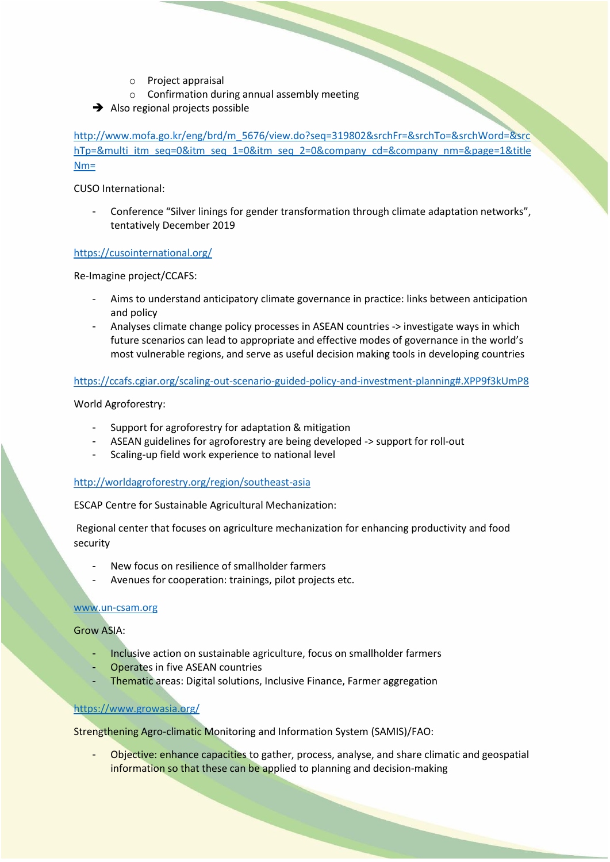- o Project appraisal
- o Project appraisal<br>
confirmation during annual assembly meeting<br>
confirmation during annual assembly meeting
- $\rightarrow$  Also regional projects possible

[http://www.mofa.go.kr/eng/brd/m\\_5676/view.do?seq=319802&srchFr=&srchTo=&srchWord=&src](http://www.mofa.go.kr/eng/brd/m_5676/view.do?seq=319802&srchFr=&srchTo=&srchWord=&srchTp=&multi_itm_seq=0&itm_seq_1=0&itm_seq_2=0&company_cd=&company_nm=&page=1&titleNm=) [hTp=&multi\\_itm\\_seq=0&itm\\_seq\\_1=0&itm\\_seq\\_2=0&company\\_cd=&company\\_nm=&page=1&title](http://www.mofa.go.kr/eng/brd/m_5676/view.do?seq=319802&srchFr=&srchTo=&srchWord=&srchTp=&multi_itm_seq=0&itm_seq_1=0&itm_seq_2=0&company_cd=&company_nm=&page=1&titleNm=) [Nm=](http://www.mofa.go.kr/eng/brd/m_5676/view.do?seq=319802&srchFr=&srchTo=&srchWord=&srchTp=&multi_itm_seq=0&itm_seq_1=0&itm_seq_2=0&company_cd=&company_nm=&page=1&titleNm=)

CUSO International:

Conference "Silver linings for gender transformation through climate adaptation networks", tentatively December 2019

#### <https://cusointernational.org/>

Re-Imagine project/CCAFS:

- Aims to understand anticipatory climate governance in practice: links between anticipation and policy
- Analyses climate change policy processes in ASEAN countries -> investigate ways in which future scenarios can lead to appropriate and effective modes of governance in the world's most vulnerable regions, and serve as useful decision making tools in developing countries

#### <https://ccafs.cgiar.org/scaling-out-scenario-guided-policy-and-investment-planning#.XPP9f3kUmP8>

World Agroforestry:

- Support for agroforestry for adaptation & mitigation
- ASEAN guidelines for agroforestry are being developed -> support for roll-out
- Scaling-up field work experience to national level

#### <http://worldagroforestry.org/region/southeast-asia>

ESCAP Centre for Sustainable Agricultural Mechanization:

Regional center that focuses on agriculture mechanization for enhancing productivity and food security

- New focus on resilience of smallholder farmers
- Avenues for cooperation: trainings, pilot projects etc.

#### [www.un-csam.org](http://www.un-csam.org/)

Grow ASIA:

- Inclusive action on sustainable agriculture, focus on smallholder farmers
- Operates in five ASEAN countries
- Thematic areas: Digital solutions, Inclusive Finance, Farmer aggregation

### <https://www.growasia.org/>

Strengthening Agro-climatic Monitoring and Information System (SAMIS)/FAO:

Objective: enhance capacities to gather, process, analyse, and share climatic and geospatial information so that these can be applied to planning and decision-making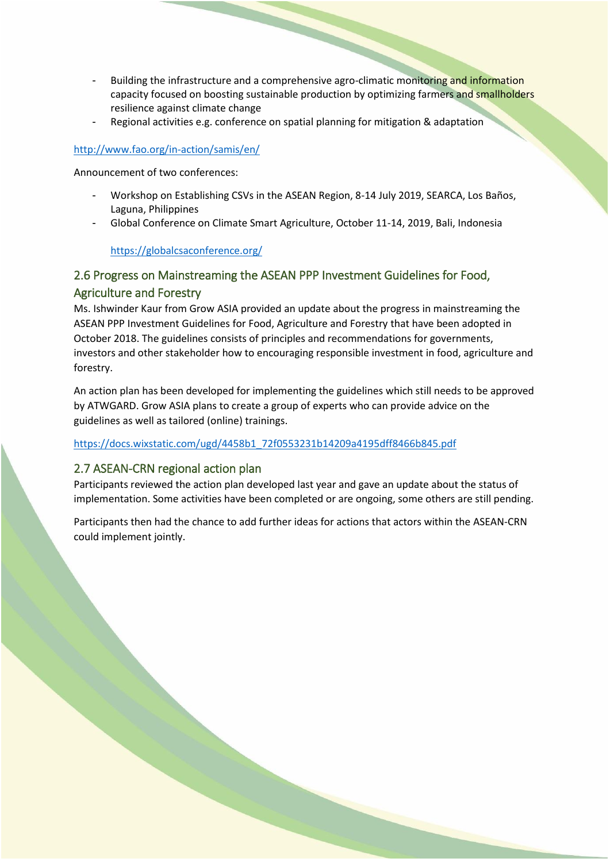- Building the infrastructure and a comprehensive agro-climatic monitoring and information capacity focused on boosting sustainable production by optimizing farmers and smallholders resilience against climate change
- Regional activities e.g. conference on spatial planning for mitigation & adaptation

### <http://www.fao.org/in-action/samis/en/>

Announcement of two conferences:

- Workshop on Establishing CSVs in the ASEAN Region, 8-14 July 2019, SEARCA, Los Baños, Laguna, Philippines
- Global Conference on Climate Smart Agriculture, October 11-14, 2019, Bali, Indonesia

<https://globalcsaconference.org/>

# 2.6 Progress on Mainstreaming the ASEAN PPP Investment Guidelines for Food, Agriculture and Forestry

Ms. Ishwinder Kaur from Grow ASIA provided an update about the progress in mainstreaming the ASEAN PPP Investment Guidelines for Food, Agriculture and Forestry that have been adopted in October 2018. The guidelines consists of principles and recommendations for governments, investors and other stakeholder how to encouraging responsible investment in food, agriculture and forestry.

An action plan has been developed for implementing the guidelines which still needs to be approved by ATWGARD. Grow ASIA plans to create a group of experts who can provide advice on the guidelines as well as tailored (online) trainings.

[https://docs.wixstatic.com/ugd/4458b1\\_72f0553231b14209a4195dff8466b845.pdf](https://docs.wixstatic.com/ugd/4458b1_72f0553231b14209a4195dff8466b845.pdf)

## 2.7 ASEAN-CRN regional action plan

Participants reviewed the action plan developed last year and gave an update about the status of implementation. Some activities have been completed or are ongoing, some others are still pending.

Participants then had the chance to add further ideas for actions that actors within the ASEAN-CRN could implement jointly.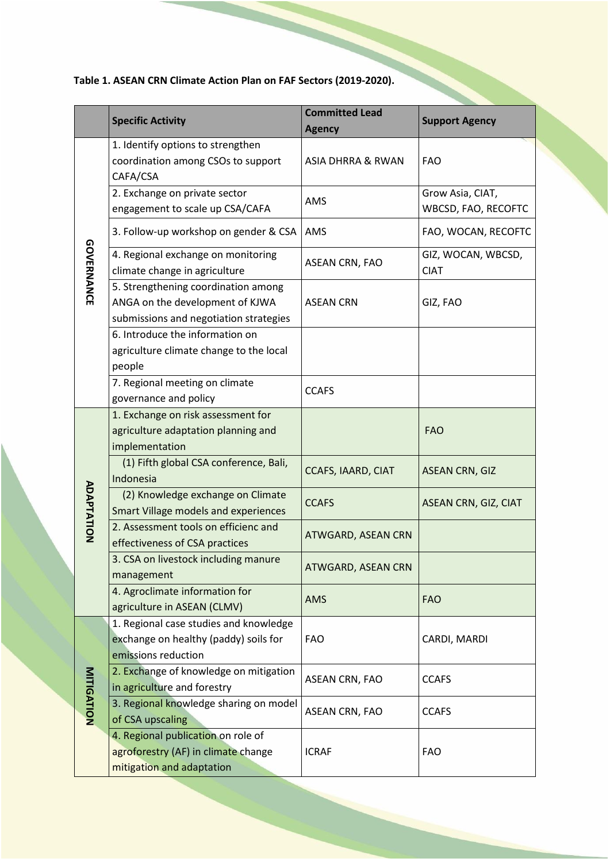**Table 1. ASEAN CRN Climate Action Plan on FAF Sectors (2019-2020).**

|                   | <b>Specific Activity</b>                                                                                         | <b>Committed Lead</b><br><b>Agency</b> | <b>Support Agency</b>                   |
|-------------------|------------------------------------------------------------------------------------------------------------------|----------------------------------------|-----------------------------------------|
| <b>GOVERNANCE</b> | 1. Identify options to strengthen<br>coordination among CSOs to support<br>CAFA/CSA                              | ASIA DHRRA & RWAN                      | <b>FAO</b>                              |
|                   | 2. Exchange on private sector<br>engagement to scale up CSA/CAFA                                                 | AMS                                    | Grow Asia, CIAT,<br>WBCSD, FAO, RECOFTC |
|                   | 3. Follow-up workshop on gender & CSA                                                                            | AMS                                    | FAO, WOCAN, RECOFTC                     |
|                   | 4. Regional exchange on monitoring<br>climate change in agriculture                                              | ASEAN CRN, FAO                         | GIZ, WOCAN, WBCSD,<br><b>CIAT</b>       |
|                   | 5. Strengthening coordination among<br>ANGA on the development of KJWA<br>submissions and negotiation strategies | <b>ASEAN CRN</b>                       | GIZ, FAO                                |
|                   | 6. Introduce the information on<br>agriculture climate change to the local<br>people                             |                                        |                                         |
|                   | 7. Regional meeting on climate<br>governance and policy                                                          | <b>CCAFS</b>                           |                                         |
| <b>ADAPTATION</b> | 1. Exchange on risk assessment for<br>agriculture adaptation planning and<br>implementation                      |                                        | <b>FAO</b>                              |
|                   | (1) Fifth global CSA conference, Bali,<br>Indonesia                                                              | CCAFS, IAARD, CIAT                     | <b>ASEAN CRN, GIZ</b>                   |
|                   | (2) Knowledge exchange on Climate<br><b>Smart Village models and experiences</b>                                 | <b>CCAFS</b>                           | ASEAN CRN, GIZ, CIAT                    |
|                   | 2. Assessment tools on efficienc and<br>effectiveness of CSA practices                                           | <b>ATWGARD, ASEAN CRN</b>              |                                         |
|                   | 3. CSA on livestock including manure<br>management                                                               | <b>ATWGARD, ASEAN CRN</b>              |                                         |
|                   | 4. Agroclimate information for<br>agriculture in ASEAN (CLMV)                                                    | <b>AMS</b>                             | <b>FAO</b>                              |
| <b>MITIGATION</b> | 1. Regional case studies and knowledge<br>exchange on healthy (paddy) soils for<br>emissions reduction           | <b>FAO</b>                             | CARDI, MARDI                            |
|                   | 2. Exchange of knowledge on mitigation<br>in agriculture and forestry                                            | ASEAN CRN, FAO                         | <b>CCAFS</b>                            |
|                   | 3. Regional knowledge sharing on model<br>of CSA upscaling                                                       | ASEAN CRN, FAO                         | <b>CCAFS</b>                            |
|                   | 4. Regional publication on role of<br>agroforestry (AF) in climate change<br>mitigation and adaptation           | <b>ICRAF</b>                           | <b>FAO</b>                              |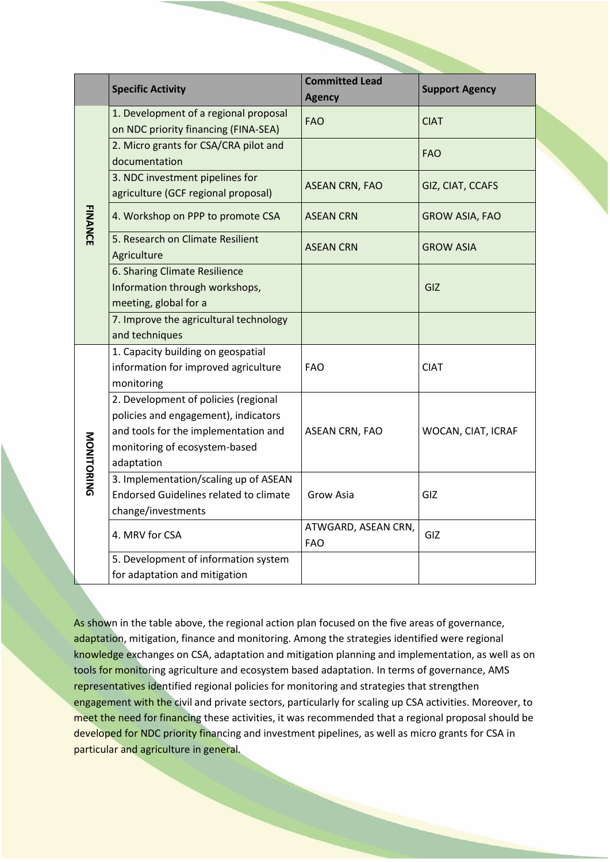|                | <b>Specific Activity</b>                                                                                                                                            | <b>Committed Lead</b><br><b>Agency</b> | <b>Support Agency</b> |
|----------------|---------------------------------------------------------------------------------------------------------------------------------------------------------------------|----------------------------------------|-----------------------|
| <b>FINANCE</b> | 1. Development of a regional proposal<br>on NDC priority financing (FINA-SEA)                                                                                       | <b>FAO</b>                             | <b>CIAT</b>           |
|                | 2. Micro grants for CSA/CRA pilot and<br>documentation                                                                                                              |                                        | <b>FAO</b>            |
|                | 3. NDC investment pipelines for<br>agriculture (GCF regional proposal)                                                                                              | <b>ASEAN CRN, FAO</b>                  | GIZ, CIAT, CCAFS      |
|                | 4. Workshop on PPP to promote CSA                                                                                                                                   | <b>ASEAN CRN</b>                       | <b>GROW ASIA, FAO</b> |
|                | 5. Research on Climate Resilient<br>Agriculture                                                                                                                     | <b>ASEAN CRN</b>                       | <b>GROW ASIA</b>      |
|                | 6. Sharing Climate Resilience<br>Information through workshops,<br>meeting, global for a                                                                            |                                        | GIZ                   |
|                | 7. Improve the agricultural technology<br>and techniques                                                                                                            |                                        |                       |
| MONITORING     | 1. Capacity building on geospatial<br>information for improved agriculture<br>monitoring                                                                            | <b>FAO</b>                             | <b>CIAT</b>           |
|                | 2. Development of policies (regional<br>policies and engagement), indicators<br>and tools for the implementation and<br>monitoring of ecosystem-based<br>adaptation | <b>ASEAN CRN, FAO</b>                  | WOCAN, CIAT, ICRAF    |
|                | 3. Implementation/scaling up of ASEAN<br><b>Endorsed Guidelines related to climate</b><br>change/investments                                                        | Grow Asia                              | GIZ.                  |
|                | 4. MRV for CSA                                                                                                                                                      | ATWGARD, ASEAN CRN,<br><b>FAO</b>      | GIZ                   |
|                | 5. Development of information system<br>for adaptation and mitigation                                                                                               |                                        |                       |

As shown in the table above, the regional action plan focused on the five areas of governance, adaptation, mitigation, finance and monitoring. Among the strategies identified were regional knowledge exchanges on CSA, adaptation and mitigation planning and implementation, as well as on tools for monitoring agriculture and ecosystem based adaptation. In terms of governance, AMS representatives identified regional policies for monitoring and strategies that strengthen engagement with the civil and private sectors, particularly for scaling up CSA activities. Moreover, to meet the need for financing these activities, it was recommended that a regional proposal should be developed for NDC priority financing and investment pipelines, as well as micro grants for CSA in particular and agriculture in general.